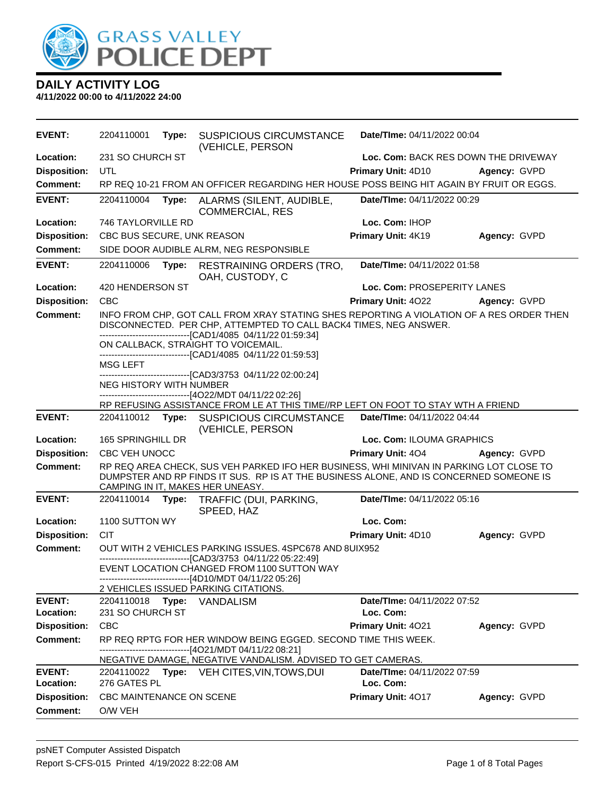

| <b>EVENT:</b>              | 2204110001                                               | Type: | SUSPICIOUS CIRCUMSTANCE<br>(VEHICLE, PERSON                                                                                                                                                                                                                           | Date/TIme: 04/11/2022 00:04              |              |
|----------------------------|----------------------------------------------------------|-------|-----------------------------------------------------------------------------------------------------------------------------------------------------------------------------------------------------------------------------------------------------------------------|------------------------------------------|--------------|
| Location:                  | 231 SO CHURCH ST<br>Loc. Com: BACK RES DOWN THE DRIVEWAY |       |                                                                                                                                                                                                                                                                       |                                          |              |
| <b>Disposition:</b>        | UTL                                                      |       |                                                                                                                                                                                                                                                                       | Primary Unit: 4D10                       | Agency: GVPD |
| <b>Comment:</b>            |                                                          |       | RP REQ 10-21 FROM AN OFFICER REGARDING HER HOUSE POSS BEING HIT AGAIN BY FRUIT OR EGGS.                                                                                                                                                                               |                                          |              |
| <b>EVENT:</b>              | 2204110004                                               | Type: | ALARMS (SILENT, AUDIBLE,<br><b>COMMERCIAL, RES</b>                                                                                                                                                                                                                    | Date/TIme: 04/11/2022 00:29              |              |
| Location:                  | 746 TAYLORVILLE RD                                       |       |                                                                                                                                                                                                                                                                       | Loc. Com: IHOP                           |              |
| <b>Disposition:</b>        | CBC BUS SECURE, UNK REASON                               |       |                                                                                                                                                                                                                                                                       | Primary Unit: 4K19                       | Agency: GVPD |
| <b>Comment:</b>            | SIDE DOOR AUDIBLE ALRM, NEG RESPONSIBLE                  |       |                                                                                                                                                                                                                                                                       |                                          |              |
| <b>EVENT:</b>              | 2204110006                                               | Type: | <b>RESTRAINING ORDERS (TRO,</b><br>OAH, CUSTODY, C                                                                                                                                                                                                                    | Date/TIme: 04/11/2022 01:58              |              |
| Location:                  | 420 HENDERSON ST                                         |       |                                                                                                                                                                                                                                                                       | Loc. Com: PROSEPERITY LANES              |              |
| <b>Disposition:</b>        | <b>CBC</b>                                               |       |                                                                                                                                                                                                                                                                       | Primary Unit: 4022                       | Agency: GVPD |
| <b>Comment:</b>            |                                                          |       | INFO FROM CHP, GOT CALL FROM XRAY STATING SHES REPORTING A VIOLATION OF A RES ORDER THEN<br>DISCONNECTED. PER CHP, ATTEMPTED TO CALL BACK4 TIMES, NEG ANSWER.<br>---------------------------------[CAD1/4085_04/11/22 01:59:34]                                       |                                          |              |
|                            |                                                          |       | ON CALLBACK, STRAIGHT TO VOICEMAIL.<br>-------------------------------[CAD1/4085 04/11/22 01:59:53]                                                                                                                                                                   |                                          |              |
|                            | <b>MSG LEFT</b>                                          |       |                                                                                                                                                                                                                                                                       |                                          |              |
|                            | <b>NEG HISTORY WITH NUMBER</b>                           |       | --------------------------------[CAD3/3753 04/11/22 02:00:24]<br>---------------------[4O22/MDT 04/11/22 02:26]                                                                                                                                                       |                                          |              |
|                            |                                                          |       | RP REFUSING ASSISTANCE FROM LE AT THIS TIME//RP LEFT ON FOOT TO STAY WTH A FRIEND                                                                                                                                                                                     |                                          |              |
| <b>EVENT:</b>              |                                                          |       | 2204110012 Type: SUSPICIOUS CIRCUMSTANCE<br>(VEHICLE, PERSON                                                                                                                                                                                                          | Date/TIme: 04/11/2022 04:44              |              |
| Location:                  | 165 SPRINGHILL DR                                        |       |                                                                                                                                                                                                                                                                       | Loc. Com: ILOUMA GRAPHICS                |              |
| <b>Disposition:</b>        | CBC VEH UNOCC                                            |       |                                                                                                                                                                                                                                                                       | <b>Primary Unit: 404</b>                 | Agency: GVPD |
| <b>Comment:</b>            |                                                          |       | RP REQ AREA CHECK, SUS VEH PARKED IFO HER BUSINESS, WHI MINIVAN IN PARKING LOT CLOSE TO<br>DUMPSTER AND RP FINDS IT SUS. RP IS AT THE BUSINESS ALONE, AND IS CONCERNED SOMEONE IS<br>CAMPING IN IT, MAKES HER UNEASY.                                                 |                                          |              |
| <b>EVENT:</b>              | 2204110014                                               | Type: | TRAFFIC (DUI, PARKING,<br>SPEED, HAZ                                                                                                                                                                                                                                  | Date/TIme: 04/11/2022 05:16              |              |
| Location:                  | 1100 SUTTON WY                                           |       |                                                                                                                                                                                                                                                                       | Loc. Com:                                |              |
| <b>Disposition:</b>        | <b>CIT</b>                                               |       |                                                                                                                                                                                                                                                                       | Primary Unit: 4D10                       | Agency: GVPD |
| <b>Comment:</b>            |                                                          |       | OUT WITH 2 VEHICLES PARKING ISSUES. 4SPC678 AND 8UIX952<br>-------------------------------[CAD3/3753 04/11/22 05:22:49]<br>EVENT LOCATION CHANGED FROM 1100 SUTTON WAY<br>--------------------------[4D10/MDT 04/11/22 05:26]<br>2 VEHICLES ISSUED PARKING CITATIONS. |                                          |              |
| <b>EVENT:</b>              | 2204110018                                               | Type: | VANDALISM                                                                                                                                                                                                                                                             | Date/TIme: 04/11/2022 07:52              |              |
| Location:                  | 231 SO CHURCH ST                                         |       |                                                                                                                                                                                                                                                                       | Loc. Com:                                |              |
| <b>Disposition:</b>        | <b>CBC</b>                                               |       |                                                                                                                                                                                                                                                                       | Primary Unit: 4021                       | Agency: GVPD |
| Comment:                   |                                                          |       | RP REQ RPTG FOR HER WINDOW BEING EGGED. SECOND TIME THIS WEEK.<br>-------------------------------[4O21/MDT 04/11/22 08:21]                                                                                                                                            |                                          |              |
|                            |                                                          |       | NEGATIVE DAMAGE, NEGATIVE VANDALISM. ADVISED TO GET CAMERAS.                                                                                                                                                                                                          |                                          |              |
| <b>EVENT:</b><br>Location: | 276 GATES PL                                             |       | 2204110022 Type: VEH CITES, VIN, TOWS, DUI                                                                                                                                                                                                                            | Date/TIme: 04/11/2022 07:59<br>Loc. Com: |              |
| <b>Disposition:</b>        | CBC MAINTENANCE ON SCENE                                 |       |                                                                                                                                                                                                                                                                       | Primary Unit: 4017                       | Agency: GVPD |
| <b>Comment:</b>            | O/W VEH                                                  |       |                                                                                                                                                                                                                                                                       |                                          |              |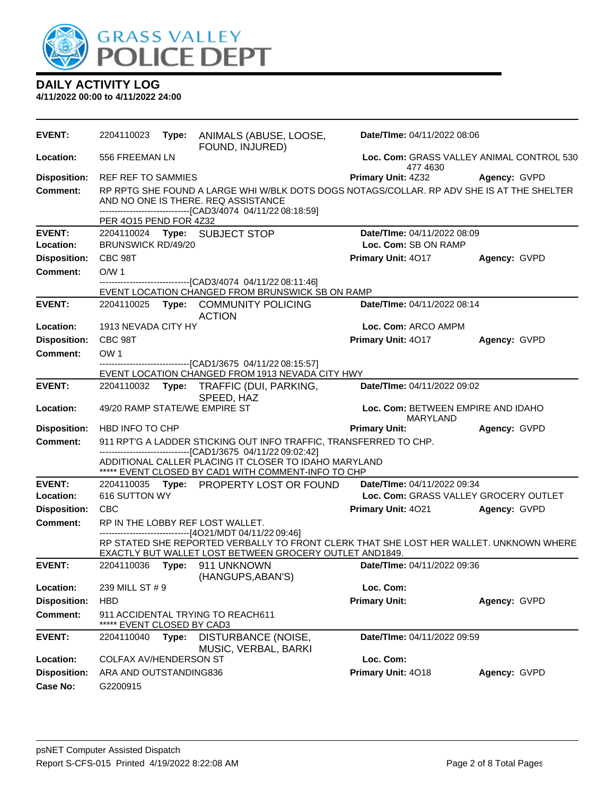

| <b>EVENT:</b>       | 2204110023                                                                                           |       | Type: ANIMALS (ABUSE, LOOSE,<br>FOUND, INJURED)                                                                                                                                                 | Date/TIme: 04/11/2022 08:06                           |              |  |
|---------------------|------------------------------------------------------------------------------------------------------|-------|-------------------------------------------------------------------------------------------------------------------------------------------------------------------------------------------------|-------------------------------------------------------|--------------|--|
| Location:           | 556 FREEMAN LN                                                                                       |       |                                                                                                                                                                                                 | Loc. Com: GRASS VALLEY ANIMAL CONTROL 530<br>477 4630 |              |  |
| <b>Disposition:</b> | <b>REF REF TO SAMMIES</b>                                                                            |       |                                                                                                                                                                                                 | Primary Unit: 4Z32                                    | Agency: GVPD |  |
| <b>Comment:</b>     | PER 4015 PEND FOR 4Z32                                                                               |       | RP RPTG SHE FOUND A LARGE WHI W/BLK DOTS DOGS NOTAGS/COLLAR. RP ADV SHE IS AT THE SHELTER<br>AND NO ONE IS THERE. REQ ASSISTANCE<br>------------------------------[CAD3/4074 04/11/22 08:18:59] |                                                       |              |  |
| <b>EVENT:</b>       |                                                                                                      |       | 2204110024 Type: SUBJECT STOP                                                                                                                                                                   | Date/TIme: 04/11/2022 08:09                           |              |  |
| Location:           | <b>BRUNSWICK RD/49/20</b>                                                                            |       |                                                                                                                                                                                                 | Loc. Com: SB ON RAMP                                  |              |  |
| <b>Disposition:</b> | CBC 98T                                                                                              |       |                                                                                                                                                                                                 | Primary Unit: 4017                                    | Agency: GVPD |  |
| <b>Comment:</b>     | O/W <sub>1</sub>                                                                                     |       |                                                                                                                                                                                                 |                                                       |              |  |
|                     |                                                                                                      |       | ------------------------------[CAD3/4074 04/11/22 08:11:46]<br>EVENT LOCATION CHANGED FROM BRUNSWICK SB ON RAMP                                                                                 |                                                       |              |  |
| <b>EVENT:</b>       |                                                                                                      |       | 2204110025 Type: COMMUNITY POLICING<br><b>ACTION</b>                                                                                                                                            | Date/TIme: 04/11/2022 08:14                           |              |  |
| Location:           | 1913 NEVADA CITY HY                                                                                  |       |                                                                                                                                                                                                 | Loc. Com: ARCO AMPM                                   |              |  |
| <b>Disposition:</b> | CBC 98T                                                                                              |       |                                                                                                                                                                                                 | Primary Unit: 4017                                    | Agency: GVPD |  |
| <b>Comment:</b>     | OW <sub>1</sub>                                                                                      |       |                                                                                                                                                                                                 |                                                       |              |  |
|                     |                                                                                                      |       | -------------------------------[CAD1/3675 04/11/22 08:15:57]<br>EVENT LOCATION CHANGED FROM 1913 NEVADA CITY HWY                                                                                |                                                       |              |  |
| <b>EVENT:</b>       |                                                                                                      |       | 2204110032 Type: TRAFFIC (DUI, PARKING,                                                                                                                                                         | Date/TIme: 04/11/2022 09:02                           |              |  |
| Location:           | SPEED, HAZ<br>49/20 RAMP STATE/WE EMPIRE ST<br>Loc. Com: BETWEEN EMPIRE AND IDAHO<br><b>MARYLAND</b> |       |                                                                                                                                                                                                 |                                                       |              |  |
| <b>Disposition:</b> | HBD INFO TO CHP                                                                                      |       |                                                                                                                                                                                                 | <b>Primary Unit:</b>                                  | Agency: GVPD |  |
| <b>Comment:</b>     |                                                                                                      |       | 911 RPT'G A LADDER STICKING OUT INFO TRAFFIC, TRANSFERRED TO CHP.                                                                                                                               |                                                       |              |  |
|                     |                                                                                                      |       | ------------------------------[CAD1/3675 04/11/22 09:02:42]<br>ADDITIONAL CALLER PLACING IT CLOSER TO IDAHO MARYLAND<br>***** EVENT CLOSED BY CAD1 WITH COMMENT-INFO TO CHP                     |                                                       |              |  |
| <b>EVENT:</b>       |                                                                                                      |       | 2204110035 Type: PROPERTY LOST OR FOUND                                                                                                                                                         | Date/TIme: 04/11/2022 09:34                           |              |  |
| Location:           | 616 SUTTON WY                                                                                        |       |                                                                                                                                                                                                 | Loc. Com: GRASS VALLEY GROCERY OUTLET                 |              |  |
| <b>Disposition:</b> | <b>CBC</b>                                                                                           |       |                                                                                                                                                                                                 | <b>Primary Unit: 4021</b>                             | Agency: GVPD |  |
| <b>Comment:</b>     |                                                                                                      |       | RP IN THE LOBBY REF LOST WALLET.<br>------------------------------[4O21/MDT 04/11/22 09:46]                                                                                                     |                                                       |              |  |
|                     |                                                                                                      |       | RP STATED SHE REPORTED VERBALLY TO FRONT CLERK THAT SHE LOST HER WALLET. UNKNOWN WHERE<br>EXACTLY BUT WALLET LOST BETWEEN GROCERY OUTLET AND1849.                                               |                                                       |              |  |
| <b>EVENT:</b>       |                                                                                                      |       | 2204110036 Type: 911 UNKNOWN<br>(HANGUPS,ABAN'S)                                                                                                                                                | Date/TIme: 04/11/2022 09:36                           |              |  |
| Location:           | 239 MILL ST # 9                                                                                      |       |                                                                                                                                                                                                 | Loc. Com:                                             |              |  |
| <b>Disposition:</b> | <b>HBD</b>                                                                                           |       |                                                                                                                                                                                                 | <b>Primary Unit:</b>                                  | Agency: GVPD |  |
| <b>Comment:</b>     | EVENT CLOSED BY CAD3                                                                                 |       | 911 ACCIDENTAL TRYING TO REACH611                                                                                                                                                               |                                                       |              |  |
| <b>EVENT:</b>       | 2204110040                                                                                           | Type: | DISTURBANCE (NOISE,<br>MUSIC, VERBAL, BARKI                                                                                                                                                     | Date/TIme: 04/11/2022 09:59                           |              |  |
| Location:           | COLFAX AV/HENDERSON ST                                                                               |       |                                                                                                                                                                                                 | Loc. Com:                                             |              |  |
| <b>Disposition:</b> | ARA AND OUTSTANDING836                                                                               |       |                                                                                                                                                                                                 | Primary Unit: 4018                                    | Agency: GVPD |  |
| <b>Case No:</b>     | G2200915                                                                                             |       |                                                                                                                                                                                                 |                                                       |              |  |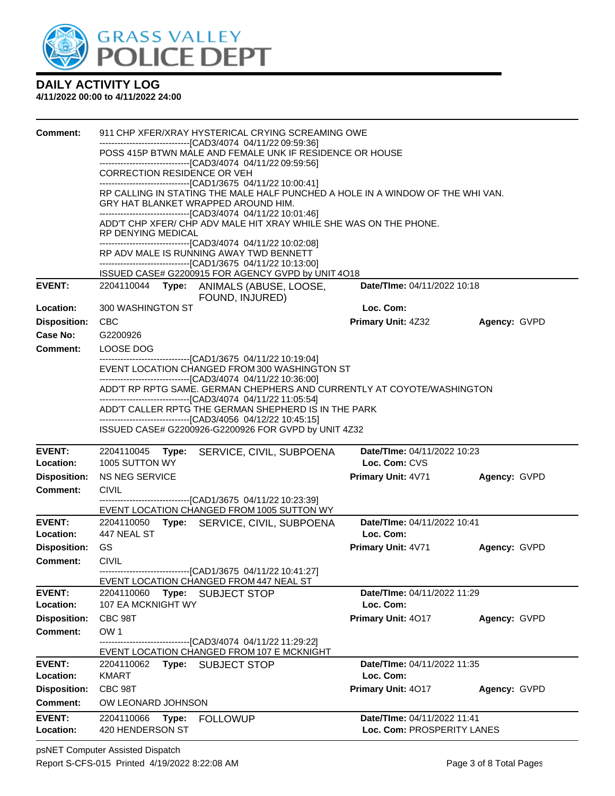

| <b>Comment:</b>                        | 911 CHP XFER/XRAY HYSTERICAL CRYING SCREAMING OWE<br>------------------------------[CAD3/4074_04/11/22 09:59:36]<br>POSS 415P BTWN MALE AND FEMALE UNK IF RESIDENCE OR HOUSE<br>------------------------------[CAD3/4074 04/11/22 09:59:56]<br>CORRECTION RESIDENCE OR VEH<br>-------------------------------[CAD1/3675 04/11/22 10:00:41]<br>RP CALLING IN STATING THE MALE HALF PUNCHED A HOLE IN A WINDOW OF THE WHI VAN. |                                                           |              |  |  |  |
|----------------------------------------|------------------------------------------------------------------------------------------------------------------------------------------------------------------------------------------------------------------------------------------------------------------------------------------------------------------------------------------------------------------------------------------------------------------------------|-----------------------------------------------------------|--------------|--|--|--|
|                                        | GRY HAT BLANKET WRAPPED AROUND HIM.<br>------------------------------[CAD3/4074 04/11/22 10:01:46]                                                                                                                                                                                                                                                                                                                           |                                                           |              |  |  |  |
|                                        | ADD'T CHP XFER/ CHP ADV MALE HIT XRAY WHILE SHE WAS ON THE PHONE.<br>RP DENYING MEDICAL                                                                                                                                                                                                                                                                                                                                      |                                                           |              |  |  |  |
|                                        | --------------------------------[CAD3/4074 04/11/22 10:02:08]<br>RP ADV MALE IS RUNNING AWAY TWD BENNETT<br>-------------------------------[CAD1/3675 04/11/22 10:13:00]                                                                                                                                                                                                                                                     |                                                           |              |  |  |  |
|                                        | ISSUED CASE# G2200915 FOR AGENCY GVPD by UNIT 4O18                                                                                                                                                                                                                                                                                                                                                                           |                                                           |              |  |  |  |
| <b>EVENT:</b>                          | 2204110044 Type: ANIMALS (ABUSE, LOOSE,<br>FOUND, INJURED)                                                                                                                                                                                                                                                                                                                                                                   | Date/TIme: 04/11/2022 10:18                               |              |  |  |  |
| Location:                              | 300 WASHINGTON ST                                                                                                                                                                                                                                                                                                                                                                                                            | Loc. Com:                                                 |              |  |  |  |
| <b>Disposition:</b><br>Case No:        | <b>CBC</b><br>G2200926                                                                                                                                                                                                                                                                                                                                                                                                       | <b>Primary Unit: 4Z32</b>                                 | Agency: GVPD |  |  |  |
| Comment:                               | LOOSE DOG                                                                                                                                                                                                                                                                                                                                                                                                                    |                                                           |              |  |  |  |
|                                        | ------------------------------[CAD1/3675 04/11/22 10:19:04]<br>EVENT LOCATION CHANGED FROM 300 WASHINGTON ST                                                                                                                                                                                                                                                                                                                 |                                                           |              |  |  |  |
|                                        | -------------------------------[CAD3/4074 04/11/22 10:36:00]<br>ADD'T RP RPTG SAME. GERMAN CHEPHERS AND CURRENTLY AT COYOTE/WASHINGTON                                                                                                                                                                                                                                                                                       |                                                           |              |  |  |  |
|                                        | ------------------------------[CAD3/4074 04/11/22 11:05:54]<br>ADD'T CALLER RPTG THE GERMAN SHEPHERD IS IN THE PARK                                                                                                                                                                                                                                                                                                          |                                                           |              |  |  |  |
|                                        | -------------------------------[CAD3/4056 04/12/22 10:45:15]<br>ISSUED CASE# G2200926-G2200926 FOR GVPD by UNIT 4Z32                                                                                                                                                                                                                                                                                                         |                                                           |              |  |  |  |
| <b>EVENT:</b>                          | 2204110045<br>SERVICE, CIVIL, SUBPOENA<br>Type:                                                                                                                                                                                                                                                                                                                                                                              | Date/TIme: 04/11/2022 10:23                               |              |  |  |  |
| Location:                              | 1005 SUTTON WY                                                                                                                                                                                                                                                                                                                                                                                                               | Loc. Com: CVS                                             |              |  |  |  |
| <b>Disposition:</b><br><b>Comment:</b> | <b>NS NEG SERVICE</b>                                                                                                                                                                                                                                                                                                                                                                                                        | <b>Primary Unit: 4V71</b>                                 | Agency: GVPD |  |  |  |
|                                        | <b>CIVIL</b><br>-------------------------------[CAD1/3675_04/11/22 10:23:39]                                                                                                                                                                                                                                                                                                                                                 |                                                           |              |  |  |  |
|                                        | EVENT LOCATION CHANGED FROM 1005 SUTTON WY                                                                                                                                                                                                                                                                                                                                                                                   |                                                           |              |  |  |  |
| <b>EVENT:</b><br>Location:             | Type: SERVICE, CIVIL, SUBPOENA<br>2204110050<br>447 NEAL ST                                                                                                                                                                                                                                                                                                                                                                  | Date/TIme: 04/11/2022 10:41<br>Loc. Com:                  |              |  |  |  |
| <b>Disposition:</b>                    | GS                                                                                                                                                                                                                                                                                                                                                                                                                           | <b>Primary Unit: 4V71</b>                                 | Agency: GVPD |  |  |  |
| <b>Comment:</b>                        | <b>CIVIL</b>                                                                                                                                                                                                                                                                                                                                                                                                                 |                                                           |              |  |  |  |
|                                        | -------------------------[CAD1/3675_04/11/22 10:41:27]<br>EVENT LOCATION CHANGED FROM 447 NEAL ST                                                                                                                                                                                                                                                                                                                            |                                                           |              |  |  |  |
| <b>EVENT:</b><br>Location:             | 2204110060<br>Type:<br><b>SUBJECT STOP</b><br>107 EA MCKNIGHT WY                                                                                                                                                                                                                                                                                                                                                             | Date/Time: 04/11/2022 11:29<br>Loc. Com:                  |              |  |  |  |
| <b>Disposition:</b>                    | CBC 98T                                                                                                                                                                                                                                                                                                                                                                                                                      | Primary Unit: 4017                                        | Agency: GVPD |  |  |  |
| <b>Comment:</b>                        | OW <sub>1</sub>                                                                                                                                                                                                                                                                                                                                                                                                              |                                                           |              |  |  |  |
|                                        | ------------------[CAD3/4074_04/11/22 11:29:22]<br>EVENT LOCATION CHANGED FROM 107 E MCKNIGHT                                                                                                                                                                                                                                                                                                                                |                                                           |              |  |  |  |
| <b>EVENT:</b>                          | 2204110062<br>Type:<br><b>SUBJECT STOP</b>                                                                                                                                                                                                                                                                                                                                                                                   | Date/TIme: 04/11/2022 11:35                               |              |  |  |  |
| Location:                              | <b>KMART</b>                                                                                                                                                                                                                                                                                                                                                                                                                 | Loc. Com:                                                 |              |  |  |  |
| <b>Disposition:</b>                    | CBC 98T                                                                                                                                                                                                                                                                                                                                                                                                                      | Primary Unit: 4017                                        | Agency: GVPD |  |  |  |
| <b>Comment:</b>                        | OW LEONARD JOHNSON                                                                                                                                                                                                                                                                                                                                                                                                           |                                                           |              |  |  |  |
| <b>EVENT:</b><br>Location:             | 2204110066<br>Type:<br><b>FOLLOWUP</b><br>420 HENDERSON ST                                                                                                                                                                                                                                                                                                                                                                   | Date/Time: 04/11/2022 11:41<br>Loc. Com: PROSPERITY LANES |              |  |  |  |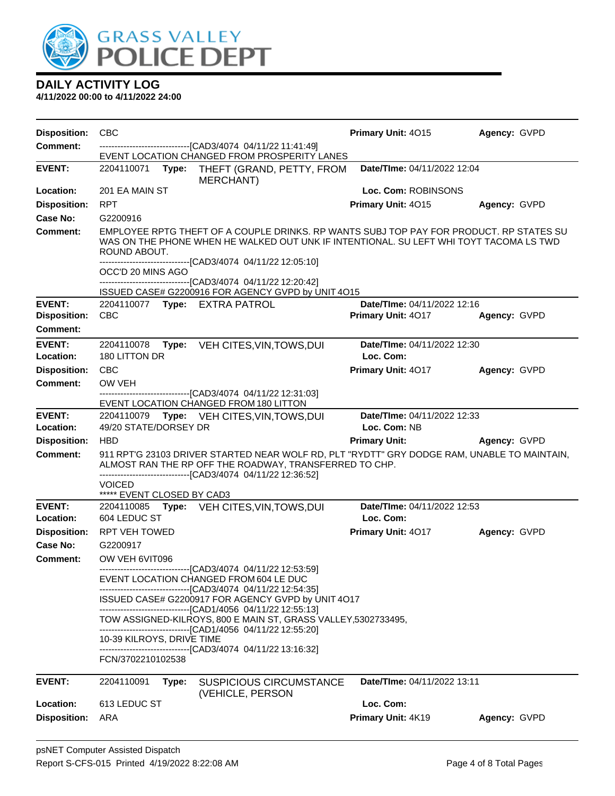

| <b>Disposition:</b> | <b>CBC</b>                                                                                                                                                                                                                                                       | Primary Unit: 4015          | Agency: GVPD |  |  |  |
|---------------------|------------------------------------------------------------------------------------------------------------------------------------------------------------------------------------------------------------------------------------------------------------------|-----------------------------|--------------|--|--|--|
| <b>Comment:</b>     | ---------------------------------[CAD3/4074 04/11/22 11:41:49]<br>EVENT LOCATION CHANGED FROM PROSPERITY LANES                                                                                                                                                   |                             |              |  |  |  |
| <b>EVENT:</b>       | Type: THEFT (GRAND, PETTY, FROM<br>2204110071<br>MERCHANT)                                                                                                                                                                                                       | Date/TIme: 04/11/2022 12:04 |              |  |  |  |
| Location:           | 201 EA MAIN ST                                                                                                                                                                                                                                                   | Loc. Com: ROBINSONS         |              |  |  |  |
| <b>Disposition:</b> | <b>RPT</b>                                                                                                                                                                                                                                                       | Primary Unit: 4015          | Agency: GVPD |  |  |  |
| Case No:            | G2200916                                                                                                                                                                                                                                                         |                             |              |  |  |  |
| <b>Comment:</b>     | EMPLOYEE RPTG THEFT OF A COUPLE DRINKS. RP WANTS SUBJ TOP PAY FOR PRODUCT. RP STATES SU<br>WAS ON THE PHONE WHEN HE WALKED OUT UNK IF INTENTIONAL. SU LEFT WHI TOYT TACOMA LS TWD<br>ROUND ABOUT.<br>------------------------------[CAD3/4074 04/11/22 12:05:10] |                             |              |  |  |  |
|                     | OCC'D 20 MINS AGO                                                                                                                                                                                                                                                |                             |              |  |  |  |
|                     | -------------------------------[CAD3/4074 04/11/22 12:20:42]                                                                                                                                                                                                     |                             |              |  |  |  |
| <b>EVENT:</b>       | ISSUED CASE# G2200916 FOR AGENCY GVPD by UNIT 4O15<br>2204110077 Type: EXTRA PATROL                                                                                                                                                                              | Date/TIme: 04/11/2022 12:16 |              |  |  |  |
| <b>Disposition:</b> | <b>CBC</b>                                                                                                                                                                                                                                                       | Primary Unit: 4017          | Agency: GVPD |  |  |  |
| <b>Comment:</b>     |                                                                                                                                                                                                                                                                  |                             |              |  |  |  |
| <b>EVENT:</b>       | 2204110078<br>Type:<br>VEH CITES, VIN, TOWS, DUI                                                                                                                                                                                                                 | Date/TIme: 04/11/2022 12:30 |              |  |  |  |
| Location:           | 180 LITTON DR                                                                                                                                                                                                                                                    | Loc. Com:                   |              |  |  |  |
| <b>Disposition:</b> | <b>CBC</b>                                                                                                                                                                                                                                                       | Primary Unit: 4017          | Agency: GVPD |  |  |  |
| <b>Comment:</b>     | OW VEH                                                                                                                                                                                                                                                           |                             |              |  |  |  |
|                     | ------------------------------[CAD3/4074 04/11/22 12:31:03]<br>EVENT LOCATION CHANGED FROM 180 LITTON                                                                                                                                                            |                             |              |  |  |  |
| <b>EVENT:</b>       | 2204110079 Type: VEH CITES, VIN, TOWS, DUI                                                                                                                                                                                                                       | Date/TIme: 04/11/2022 12:33 |              |  |  |  |
| Location:           | 49/20 STATE/DORSEY DR                                                                                                                                                                                                                                            | Loc. Com: NB                |              |  |  |  |
| <b>Disposition:</b> | <b>HBD</b>                                                                                                                                                                                                                                                       | <b>Primary Unit:</b>        | Agency: GVPD |  |  |  |
| <b>Comment:</b>     | 911 RPT'G 23103 DRIVER STARTED NEAR WOLF RD, PLT "RYDTT" GRY DODGE RAM, UNABLE TO MAINTAIN,<br>ALMOST RAN THE RP OFF THE ROADWAY, TRANSFERRED TO CHP.<br>-------------------------------[CAD3/4074 04/11/22 12:36:52]                                            |                             |              |  |  |  |
|                     | <b>VOICED</b>                                                                                                                                                                                                                                                    |                             |              |  |  |  |
| <b>EVENT:</b>       | ***** EVENT CLOSED BY CAD3<br>2204110085 Type: VEH CITES, VIN, TOWS, DUI                                                                                                                                                                                         | Date/TIme: 04/11/2022 12:53 |              |  |  |  |
| Location:           | 604 LEDUC ST                                                                                                                                                                                                                                                     | Loc. Com:                   |              |  |  |  |
| <b>Disposition:</b> | <b>RPT VEH TOWED</b>                                                                                                                                                                                                                                             | <b>Primary Unit: 4017</b>   | Agency: GVPD |  |  |  |
| Case No:            | G2200917                                                                                                                                                                                                                                                         |                             |              |  |  |  |
| <b>Comment:</b>     | OW VEH 6VIT096                                                                                                                                                                                                                                                   |                             |              |  |  |  |
|                     | -------------------------[CAD3/4074_04/11/22 12:53:59]<br>EVENT LOCATION CHANGED FROM 604 LE DUC                                                                                                                                                                 |                             |              |  |  |  |
|                     | ---------------------------[CAD3/4074_04/11/22 12:54:35]<br>ISSUED CASE# G2200917 FOR AGENCY GVPD by UNIT 4O17<br>--------------------------------[CAD1/4056 04/11/22 12:55:13]                                                                                  |                             |              |  |  |  |
|                     | TOW ASSIGNED-KILROYS, 800 E MAIN ST, GRASS VALLEY, 5302733495,                                                                                                                                                                                                   |                             |              |  |  |  |
|                     | ------------------------------[CAD1/4056 04/11/22 12:55:20]<br>10-39 KILROYS, DRIVE TIME                                                                                                                                                                         |                             |              |  |  |  |
|                     | --------------------------------[CAD3/4074 04/11/22 13:16:32]<br>FCN/3702210102538                                                                                                                                                                               |                             |              |  |  |  |
| <b>EVENT:</b>       | 2204110091<br>Type:<br><b>SUSPICIOUS CIRCUMSTANCE</b><br>(VEHICLE, PERSON                                                                                                                                                                                        | Date/TIme: 04/11/2022 13:11 |              |  |  |  |
| Location:           | 613 LEDUC ST                                                                                                                                                                                                                                                     | Loc. Com:                   |              |  |  |  |
| <b>Disposition:</b> | ARA                                                                                                                                                                                                                                                              | Primary Unit: 4K19          | Agency: GVPD |  |  |  |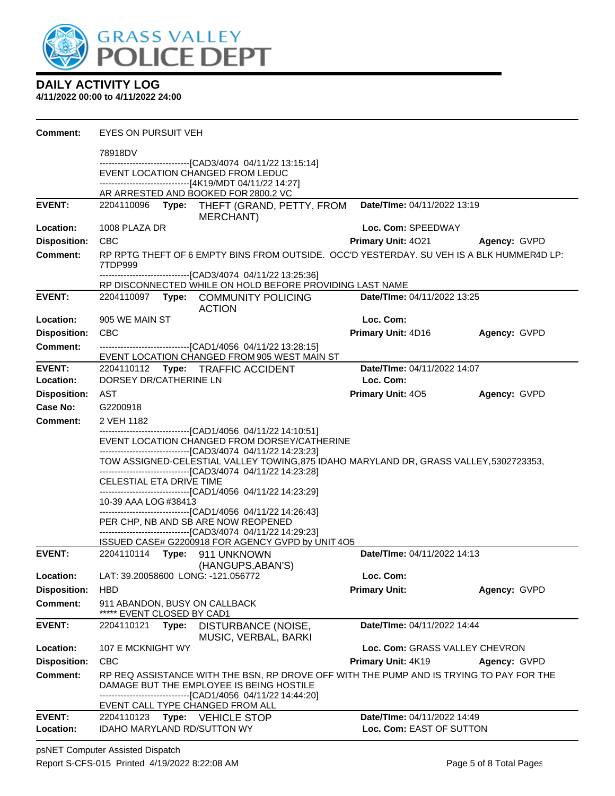

#### **4/11/2022 00:00 to 4/11/2022 24:00**

| <b>Comment:</b>            | <b>EYES ON PURSUIT VEH</b>                                                                                                                                                 |                                                                                     |                                                                                                                                                                                                                     |                                                         |              |  |
|----------------------------|----------------------------------------------------------------------------------------------------------------------------------------------------------------------------|-------------------------------------------------------------------------------------|---------------------------------------------------------------------------------------------------------------------------------------------------------------------------------------------------------------------|---------------------------------------------------------|--------------|--|
|                            | 78918DV                                                                                                                                                                    |                                                                                     |                                                                                                                                                                                                                     |                                                         |              |  |
|                            |                                                                                                                                                                            |                                                                                     | -------------------------------[CAD3/4074 04/11/22 13:15:14]<br>EVENT LOCATION CHANGED FROM LEDUC<br>------------------------------[4K19/MDT 04/11/22 14:27]                                                        |                                                         |              |  |
|                            |                                                                                                                                                                            |                                                                                     | AR ARRESTED AND BOOKED FOR 2800.2 VC                                                                                                                                                                                |                                                         |              |  |
| <b>EVENT:</b>              |                                                                                                                                                                            |                                                                                     | 2204110096 Type: THEFT (GRAND, PETTY, FROM<br>MERCHANT)                                                                                                                                                             | Date/TIme: 04/11/2022 13:19                             |              |  |
| Location:                  | 1008 PLAZA DR                                                                                                                                                              |                                                                                     |                                                                                                                                                                                                                     | Loc. Com: SPEEDWAY                                      |              |  |
| <b>Disposition:</b>        | <b>CBC</b>                                                                                                                                                                 |                                                                                     |                                                                                                                                                                                                                     | <b>Primary Unit: 4021</b>                               | Agency: GVPD |  |
| <b>Comment:</b>            | 7TDP999                                                                                                                                                                    |                                                                                     | RP RPTG THEFT OF 6 EMPTY BINS FROM OUTSIDE. OCC'D YESTERDAY. SU VEH IS A BLK HUMMER4D LP:                                                                                                                           |                                                         |              |  |
|                            |                                                                                                                                                                            |                                                                                     | -------------------------------[CAD3/4074 04/11/22 13:25:36]                                                                                                                                                        |                                                         |              |  |
| <b>EVENT:</b>              |                                                                                                                                                                            |                                                                                     | RP DISCONNECTED WHILE ON HOLD BEFORE PROVIDING LAST NAME<br>2204110097 Type: COMMUNITY POLICING<br><b>ACTION</b>                                                                                                    | Date/TIme: 04/11/2022 13:25                             |              |  |
| Location:                  | 905 WE MAIN ST                                                                                                                                                             |                                                                                     |                                                                                                                                                                                                                     | Loc. Com:                                               |              |  |
| <b>Disposition:</b>        | <b>CBC</b>                                                                                                                                                                 |                                                                                     |                                                                                                                                                                                                                     | Primary Unit: 4D16                                      | Agency: GVPD |  |
| <b>Comment:</b>            |                                                                                                                                                                            |                                                                                     | -------------------------------[CAD1/4056 04/11/22 13:28:15]                                                                                                                                                        |                                                         |              |  |
|                            |                                                                                                                                                                            |                                                                                     | EVENT LOCATION CHANGED FROM 905 WEST MAIN ST                                                                                                                                                                        |                                                         |              |  |
| EVENT:<br>Location:        | DORSEY DR/CATHERINE LN                                                                                                                                                     |                                                                                     | 2204110112 Type: TRAFFIC ACCIDENT                                                                                                                                                                                   | Date/TIme: 04/11/2022 14:07<br>Loc. Com:                |              |  |
| <b>Disposition:</b>        | AST                                                                                                                                                                        |                                                                                     |                                                                                                                                                                                                                     | <b>Primary Unit: 405</b>                                | Agency: GVPD |  |
| Case No:                   | G2200918                                                                                                                                                                   |                                                                                     |                                                                                                                                                                                                                     |                                                         |              |  |
| <b>Comment:</b>            | 2 VEH 1182                                                                                                                                                                 |                                                                                     |                                                                                                                                                                                                                     |                                                         |              |  |
|                            |                                                                                                                                                                            |                                                                                     | -------------------------------[CAD1/4056 04/11/22 14:10:51]<br>EVENT LOCATION CHANGED FROM DORSEY/CATHERINE                                                                                                        |                                                         |              |  |
|                            |                                                                                                                                                                            |                                                                                     | -------------------------------[CAD3/4074 04/11/22 14:23:23]<br>TOW ASSIGNED-CELESTIAL VALLEY TOWING,875 IDAHO MARYLAND DR, GRASS VALLEY,5302723353,<br>------------------------------[CAD3/4074 04/11/22 14:23:28] |                                                         |              |  |
|                            | CELESTIAL ETA DRIVE TIME                                                                                                                                                   |                                                                                     | -------------------------------[CAD1/4056 04/11/22 14:23:29]                                                                                                                                                        |                                                         |              |  |
|                            | 10-39 AAA LOG #38413                                                                                                                                                       |                                                                                     | -------------------------------[CAD1/4056 04/11/22 14:26:43]                                                                                                                                                        |                                                         |              |  |
|                            |                                                                                                                                                                            |                                                                                     | PER CHP, NB AND SB ARE NOW REOPENED<br>------------------------------[CAD3/4074 04/11/22 14:29:23]                                                                                                                  |                                                         |              |  |
|                            |                                                                                                                                                                            |                                                                                     | ISSUED CASE# G2200918 FOR AGENCY GVPD by UNIT 4O5                                                                                                                                                                   |                                                         |              |  |
| <b>EVENT:</b>              | 2204110114 Type: 911 UNKNOWN                                                                                                                                               |                                                                                     | (HANGUPS, ABAN'S)                                                                                                                                                                                                   | Date/TIme: 04/11/2022 14:13                             |              |  |
| Location:                  | LAT: 39.20058600 LONG: -121.056772                                                                                                                                         |                                                                                     |                                                                                                                                                                                                                     | Loc. Com:                                               |              |  |
| <b>Disposition:</b>        | <b>HBD</b>                                                                                                                                                                 |                                                                                     |                                                                                                                                                                                                                     | <b>Primary Unit:</b>                                    | Agency: GVPD |  |
| <b>Comment:</b>            | 911 ABANDON, BUSY ON CALLBACK<br>***** EVENT CLOSED BY CAD1                                                                                                                |                                                                                     |                                                                                                                                                                                                                     |                                                         |              |  |
| <b>EVENT:</b>              | 2204110121                                                                                                                                                                 | Date/TIme: 04/11/2022 14:44<br>DISTURBANCE (NOISE,<br>Type:<br>MUSIC, VERBAL, BARKI |                                                                                                                                                                                                                     |                                                         |              |  |
| Location:                  | 107 E MCKNIGHT WY                                                                                                                                                          |                                                                                     |                                                                                                                                                                                                                     | Loc. Com: GRASS VALLEY CHEVRON                          |              |  |
| <b>Disposition:</b>        | <b>CBC</b>                                                                                                                                                                 |                                                                                     |                                                                                                                                                                                                                     | <b>Primary Unit: 4K19</b>                               | Agency: GVPD |  |
| Comment:                   | RP REQ ASSISTANCE WITH THE BSN, RP DROVE OFF WITH THE PUMP AND IS TRYING TO PAY FOR THE<br>DAMAGE BUT THE EMPLOYEE IS BEING HOSTILE<br>------[CAD1/4056 04/11/22 14:44:20] |                                                                                     |                                                                                                                                                                                                                     |                                                         |              |  |
|                            |                                                                                                                                                                            |                                                                                     | EVENT CALL TYPE CHANGED FROM ALL                                                                                                                                                                                    |                                                         |              |  |
| <b>EVENT:</b><br>Location: | 2204110123 Type: VEHICLE STOP<br>IDAHO MARYLAND RD/SUTTON WY                                                                                                               |                                                                                     |                                                                                                                                                                                                                     | Date/TIme: 04/11/2022 14:49<br>Loc. Com: EAST OF SUTTON |              |  |

psNET Computer Assisted Dispatch Report S-CFS-015 Printed 4/19/2022 8:22:08 AM Page 5 of 8 Total Pages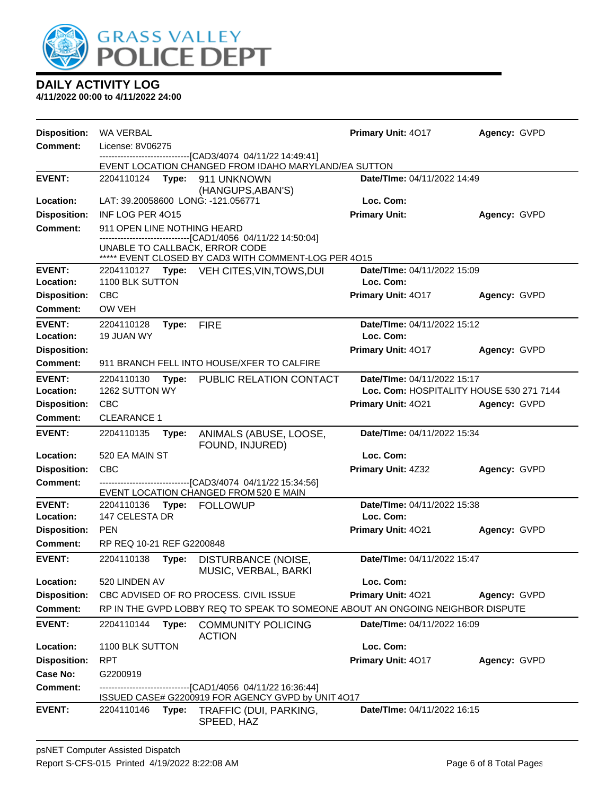

| <b>Disposition:</b> | <b>WA VERBAL</b>            |       |                                                                                                                                                  | Primary Unit: 4017                 | Agency: GVPD                             |  |
|---------------------|-----------------------------|-------|--------------------------------------------------------------------------------------------------------------------------------------------------|------------------------------------|------------------------------------------|--|
| <b>Comment:</b>     | License: 8V06275            |       |                                                                                                                                                  |                                    |                                          |  |
|                     |                             |       | ------------------------------[CAD3/4074_04/11/22 14:49:41]<br>EVENT LOCATION CHANGED FROM IDAHO MARYLAND/EA SUTTON                              |                                    |                                          |  |
| <b>EVENT:</b>       | 2204110124                  | Type: | 911 UNKNOWN                                                                                                                                      | Date/TIme: 04/11/2022 14:49        |                                          |  |
|                     |                             |       | (HANGUPS, ABAN'S)                                                                                                                                |                                    |                                          |  |
| Location:           |                             |       | LAT: 39.20058600 LONG: -121.056771                                                                                                               | Loc. Com:                          |                                          |  |
| <b>Disposition:</b> | INF LOG PER 4015            |       |                                                                                                                                                  | <b>Primary Unit:</b>               | Agency: GVPD                             |  |
| <b>Comment:</b>     | 911 OPEN LINE NOTHING HEARD |       |                                                                                                                                                  |                                    |                                          |  |
|                     |                             |       | -------------------------[CAD1/4056 04/11/22 14:50:04]<br>UNABLE TO CALLBACK, ERROR CODE<br>***** EVENT CLOSED BY CAD3 WITH COMMENT-LOG PER 4015 |                                    |                                          |  |
| <b>EVENT:</b>       |                             |       | 2204110127 Type: VEH CITES, VIN, TOWS, DUI                                                                                                       | Date/TIme: 04/11/2022 15:09        |                                          |  |
| Location:           | 1100 BLK SUTTON             |       |                                                                                                                                                  | Loc. Com:                          |                                          |  |
| <b>Disposition:</b> | <b>CBC</b>                  |       |                                                                                                                                                  | Primary Unit: 4017                 | Agency: GVPD                             |  |
| <b>Comment:</b>     | OW VEH                      |       |                                                                                                                                                  |                                    |                                          |  |
| <b>EVENT:</b>       | 2204110128                  | Type: | <b>FIRE</b>                                                                                                                                      | <b>Date/Time: 04/11/2022 15:12</b> |                                          |  |
| Location:           | 19 JUAN WY                  |       |                                                                                                                                                  | Loc. Com:                          |                                          |  |
| <b>Disposition:</b> |                             |       |                                                                                                                                                  | Primary Unit: 4017                 | Agency: GVPD                             |  |
| Comment:            |                             |       | 911 BRANCH FELL INTO HOUSE/XFER TO CALFIRE                                                                                                       |                                    |                                          |  |
| <b>EVENT:</b>       | 2204110130                  | Type: | PUBLIC RELATION CONTACT                                                                                                                          | Date/TIme: 04/11/2022 15:17        |                                          |  |
| Location:           | 1262 SUTTON WY              |       |                                                                                                                                                  |                                    | Loc. Com: HOSPITALITY HOUSE 530 271 7144 |  |
| <b>Disposition:</b> | <b>CBC</b>                  |       |                                                                                                                                                  | Primary Unit: 4021                 | Agency: GVPD                             |  |
| <b>Comment:</b>     | <b>CLEARANCE 1</b>          |       |                                                                                                                                                  |                                    |                                          |  |
| <b>EVENT:</b>       | 2204110135                  | Type: | ANIMALS (ABUSE, LOOSE,<br>FOUND, INJURED)                                                                                                        | Date/TIme: 04/11/2022 15:34        |                                          |  |
| Location:           | 520 EA MAIN ST              |       |                                                                                                                                                  | Loc. Com:                          |                                          |  |
| <b>Disposition:</b> | CBC                         |       |                                                                                                                                                  | Primary Unit: 4Z32                 | Agency: GVPD                             |  |
| <b>Comment:</b>     |                             |       | -------------------------------[CAD3/4074 04/11/22 15:34:56]<br>EVENT LOCATION CHANGED FROM 520 E MAIN                                           |                                    |                                          |  |
| <b>EVENT:</b>       | 2204110136                  |       | Type: FOLLOWUP                                                                                                                                   | Date/TIme: 04/11/2022 15:38        |                                          |  |
| Location:           | 147 CELESTA DR              |       |                                                                                                                                                  | Loc. Com:                          |                                          |  |
| <b>Disposition:</b> | <b>PEN</b>                  |       |                                                                                                                                                  | Primary Unit: 4021                 | Agency: GVPD                             |  |
| Comment:            | RP REQ 10-21 REF G2200848   |       |                                                                                                                                                  |                                    |                                          |  |
| <b>EVENT:</b>       | 2204110138                  | Type: | DISTURBANCE (NOISE,<br>MUSIC, VERBAL, BARKI                                                                                                      | Date/TIme: 04/11/2022 15:47        |                                          |  |
| Location:           | 520 LINDEN AV               |       |                                                                                                                                                  | Loc. Com:                          |                                          |  |
| <b>Disposition:</b> |                             |       | CBC ADVISED OF RO PROCESS. CIVIL ISSUE                                                                                                           | Primary Unit: 4021                 | Agency: GVPD                             |  |
| <b>Comment:</b>     |                             |       | RP IN THE GVPD LOBBY REQ TO SPEAK TO SOMEONE ABOUT AN ONGOING NEIGHBOR DISPUTE                                                                   |                                    |                                          |  |
| <b>EVENT:</b>       | 2204110144                  | Type: | <b>COMMUNITY POLICING</b><br><b>ACTION</b>                                                                                                       | Date/TIme: 04/11/2022 16:09        |                                          |  |
| Location:           | 1100 BLK SUTTON             |       |                                                                                                                                                  | Loc. Com:                          |                                          |  |
| <b>Disposition:</b> | <b>RPT</b>                  |       |                                                                                                                                                  | Primary Unit: 4017                 | Agency: GVPD                             |  |
| Case No:            | G2200919                    |       |                                                                                                                                                  |                                    |                                          |  |
| Comment:            |                             |       | --------------------------[CAD1/4056_04/11/22 16:36:44]<br>ISSUED CASE# G2200919 FOR AGENCY GVPD by UNIT 4O17                                    |                                    |                                          |  |
| <b>EVENT:</b>       | 2204110146                  | Type: | TRAFFIC (DUI, PARKING,<br>SPEED, HAZ                                                                                                             | Date/TIme: 04/11/2022 16:15        |                                          |  |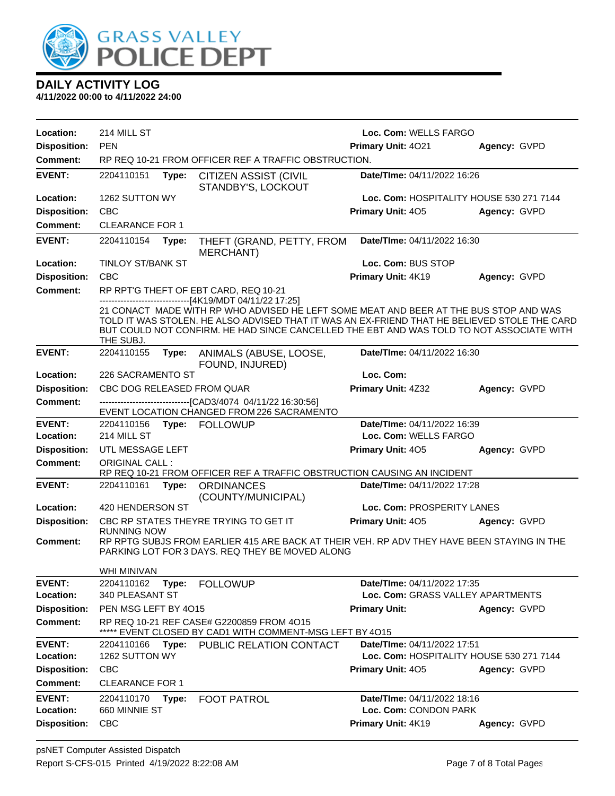

| Location:                        | 214 MILL ST                                                                                                                                                         |                                                                                                       |                                                                                                                                                                                                                                                                                                                                              | Loc. Com: WELLS FARGO                      |              |  |
|----------------------------------|---------------------------------------------------------------------------------------------------------------------------------------------------------------------|-------------------------------------------------------------------------------------------------------|----------------------------------------------------------------------------------------------------------------------------------------------------------------------------------------------------------------------------------------------------------------------------------------------------------------------------------------------|--------------------------------------------|--------------|--|
| <b>Disposition:</b>              | <b>PEN</b>                                                                                                                                                          |                                                                                                       |                                                                                                                                                                                                                                                                                                                                              |                                            |              |  |
| <b>Comment:</b>                  | RP REQ 10-21 FROM OFFICER REF A TRAFFIC OBSTRUCTION.                                                                                                                |                                                                                                       |                                                                                                                                                                                                                                                                                                                                              | Primary Unit: 4021                         | Agency: GVPD |  |
|                                  |                                                                                                                                                                     |                                                                                                       |                                                                                                                                                                                                                                                                                                                                              |                                            |              |  |
| <b>EVENT:</b>                    | 2204110151                                                                                                                                                          | Type:                                                                                                 | <b>CITIZEN ASSIST (CIVIL</b><br>STANDBY'S, LOCKOUT                                                                                                                                                                                                                                                                                           | Date/TIme: 04/11/2022 16:26                |              |  |
| Location:                        | 1262 SUTTON WY                                                                                                                                                      |                                                                                                       |                                                                                                                                                                                                                                                                                                                                              | Loc. Com: HOSPITALITY HOUSE 530 271 7144   |              |  |
| <b>Disposition:</b>              | <b>CBC</b>                                                                                                                                                          |                                                                                                       |                                                                                                                                                                                                                                                                                                                                              | Primary Unit: 405                          | Agency: GVPD |  |
| <b>Comment:</b>                  | <b>CLEARANCE FOR 1</b>                                                                                                                                              |                                                                                                       |                                                                                                                                                                                                                                                                                                                                              |                                            |              |  |
| <b>EVENT:</b>                    | 2204110154                                                                                                                                                          | Type:                                                                                                 | THEFT (GRAND, PETTY, FROM<br>MERCHANT)                                                                                                                                                                                                                                                                                                       | Date/TIme: 04/11/2022 16:30                |              |  |
| Location:                        | <b>TINLOY ST/BANK ST</b>                                                                                                                                            |                                                                                                       |                                                                                                                                                                                                                                                                                                                                              | Loc. Com: BUS STOP                         |              |  |
| <b>Disposition:</b>              | <b>CBC</b>                                                                                                                                                          |                                                                                                       |                                                                                                                                                                                                                                                                                                                                              | Primary Unit: 4K19                         | Agency: GVPD |  |
| <b>Comment:</b>                  |                                                                                                                                                                     |                                                                                                       | RP RPT'G THEFT OF EBT CARD, REQ 10-21                                                                                                                                                                                                                                                                                                        |                                            |              |  |
|                                  | THE SUBJ.                                                                                                                                                           |                                                                                                       | ------------------------------[4K19/MDT 04/11/22 17:25]<br>21 CONACT MADE WITH RP WHO ADVISED HE LEFT SOME MEAT AND BEER AT THE BUS STOP AND WAS<br>TOLD IT WAS STOLEN. HE ALSO ADVISED THAT IT WAS AN EX-FRIEND THAT HE BELIEVED STOLE THE CARD<br>BUT COULD NOT CONFIRM. HE HAD SINCE CANCELLED THE EBT AND WAS TOLD TO NOT ASSOCIATE WITH |                                            |              |  |
| <b>EVENT:</b>                    | 2204110155                                                                                                                                                          | Type:                                                                                                 | ANIMALS (ABUSE, LOOSE,<br>FOUND, INJURED)                                                                                                                                                                                                                                                                                                    | Date/TIme: 04/11/2022 16:30                |              |  |
| Location:                        | 226 SACRAMENTO ST                                                                                                                                                   |                                                                                                       |                                                                                                                                                                                                                                                                                                                                              | Loc. Com:                                  |              |  |
| <b>Disposition:</b>              | CBC DOG RELEASED FROM QUAR                                                                                                                                          |                                                                                                       |                                                                                                                                                                                                                                                                                                                                              | Primary Unit: 4Z32                         | Agency: GVPD |  |
| <b>Comment:</b>                  |                                                                                                                                                                     |                                                                                                       | -------------------------------[CAD3/4074 04/11/22 16:30:56]                                                                                                                                                                                                                                                                                 |                                            |              |  |
|                                  |                                                                                                                                                                     |                                                                                                       | EVENT LOCATION CHANGED FROM 226 SACRAMENTO                                                                                                                                                                                                                                                                                                   |                                            |              |  |
| <b>EVENT:</b>                    | Date/TIme: 04/11/2022 16:39<br>2204110156 Type: FOLLOWUP                                                                                                            |                                                                                                       |                                                                                                                                                                                                                                                                                                                                              |                                            |              |  |
| Location:<br><b>Disposition:</b> | 214 MILL ST<br>UTL MESSAGE LEFT                                                                                                                                     |                                                                                                       |                                                                                                                                                                                                                                                                                                                                              | Loc. Com: WELLS FARGO<br>Primary Unit: 405 |              |  |
| <b>Comment:</b>                  | <b>ORIGINAL CALL:</b>                                                                                                                                               |                                                                                                       |                                                                                                                                                                                                                                                                                                                                              |                                            | Agency: GVPD |  |
|                                  |                                                                                                                                                                     |                                                                                                       | RP REQ 10-21 FROM OFFICER REF A TRAFFIC OBSTRUCTION CAUSING AN INCIDENT                                                                                                                                                                                                                                                                      |                                            |              |  |
| <b>EVENT:</b>                    | 2204110161                                                                                                                                                          | Type:                                                                                                 | <b>ORDINANCES</b><br>(COUNTY/MUNICIPAL)                                                                                                                                                                                                                                                                                                      | Date/TIme: 04/11/2022 17:28                |              |  |
| Location:                        | 420 HENDERSON ST                                                                                                                                                    |                                                                                                       |                                                                                                                                                                                                                                                                                                                                              | Loc. Com: PROSPERITY LANES                 |              |  |
| <b>Disposition:</b>              |                                                                                                                                                                     |                                                                                                       | CBC RP STATES THEYRE TRYING TO GET IT                                                                                                                                                                                                                                                                                                        | Primary Unit: 405                          | Agency: GVPD |  |
| Comment:                         | <b>RUNNING NOW</b><br>RP RPTG SUBJS FROM EARLIER 415 ARE BACK AT THEIR VEH. RP ADV THEY HAVE BEEN STAYING IN THE<br>PARKING LOT FOR 3 DAYS. REQ THEY BE MOVED ALONG |                                                                                                       |                                                                                                                                                                                                                                                                                                                                              |                                            |              |  |
|                                  | WHI MINIVAN                                                                                                                                                         |                                                                                                       |                                                                                                                                                                                                                                                                                                                                              |                                            |              |  |
| <b>EVENT:</b>                    | 2204110162                                                                                                                                                          | Type:                                                                                                 | <b>FOLLOWUP</b>                                                                                                                                                                                                                                                                                                                              | Date/TIme: 04/11/2022 17:35                |              |  |
| Location:                        | 340 PLEASANT ST                                                                                                                                                     |                                                                                                       |                                                                                                                                                                                                                                                                                                                                              | Loc. Com: GRASS VALLEY APARTMENTS          |              |  |
| <b>Disposition:</b>              | PEN MSG LEFT BY 4015                                                                                                                                                |                                                                                                       |                                                                                                                                                                                                                                                                                                                                              | <b>Primary Unit:</b>                       | Agency: GVPD |  |
| Comment:                         |                                                                                                                                                                     | RP REQ 10-21 REF CASE# G2200859 FROM 4O15<br>***** EVENT CLOSED BY CAD1 WITH COMMENT-MSG LEFT BY 4015 |                                                                                                                                                                                                                                                                                                                                              |                                            |              |  |
| <b>EVENT:</b>                    | 2204110166                                                                                                                                                          | Type:                                                                                                 | PUBLIC RELATION CONTACT                                                                                                                                                                                                                                                                                                                      | Date/TIme: 04/11/2022 17:51                |              |  |
| Location:                        | 1262 SUTTON WY                                                                                                                                                      |                                                                                                       |                                                                                                                                                                                                                                                                                                                                              | Loc. Com: HOSPITALITY HOUSE 530 271 7144   |              |  |
| <b>Disposition:</b>              | <b>CBC</b>                                                                                                                                                          |                                                                                                       |                                                                                                                                                                                                                                                                                                                                              | Primary Unit: 405                          | Agency: GVPD |  |
| Comment:                         | <b>CLEARANCE FOR 1</b>                                                                                                                                              |                                                                                                       |                                                                                                                                                                                                                                                                                                                                              |                                            |              |  |
| <b>EVENT:</b>                    | 2204110170                                                                                                                                                          | Type:                                                                                                 | <b>FOOT PATROL</b>                                                                                                                                                                                                                                                                                                                           | Date/TIme: 04/11/2022 18:16                |              |  |
| Location:                        | 660 MINNIE ST                                                                                                                                                       |                                                                                                       |                                                                                                                                                                                                                                                                                                                                              | Loc. Com: CONDON PARK                      |              |  |
| <b>Disposition:</b>              | <b>CBC</b>                                                                                                                                                          |                                                                                                       |                                                                                                                                                                                                                                                                                                                                              | Primary Unit: 4K19                         | Agency: GVPD |  |